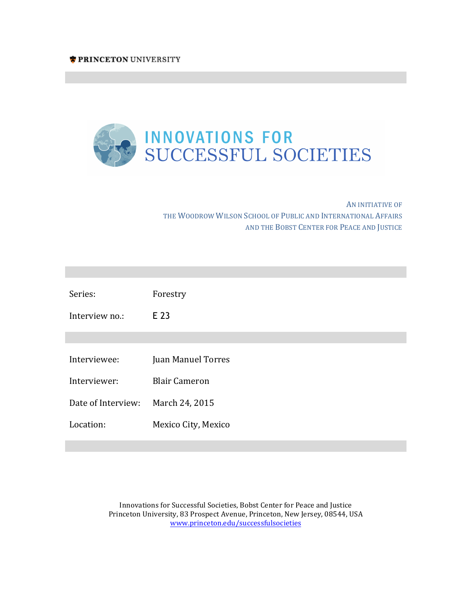

AN INITIATIVE OF THE WOODROW WILSON SCHOOL OF PUBLIC AND INTERNATIONAL AFFAIRS AND THE BOBST CENTER FOR PEACE AND JUSTICE

**Innovations for Successful Societies Innovations for Successful Societies**

**Innovations for Successful Societies Innovations for Successful Societies**

**Innovations for Successful Societies Innovations for Successful Societies**

| Series:            | Forestry                  |
|--------------------|---------------------------|
| Interview no.:     | E 23                      |
|                    |                           |
| Interviewee:       | <b>Juan Manuel Torres</b> |
| Interviewer:       | <b>Blair Cameron</b>      |
| Date of Interview: | March 24, 2015            |
| Location:          | Mexico City, Mexico       |

Innovations for Successful Societies, Bobst Center for Peace and Justice Princeton University, 83 Prospect Avenue, Princeton, New Jersey, 08544, USA www.princeton.edu/successfulsocieties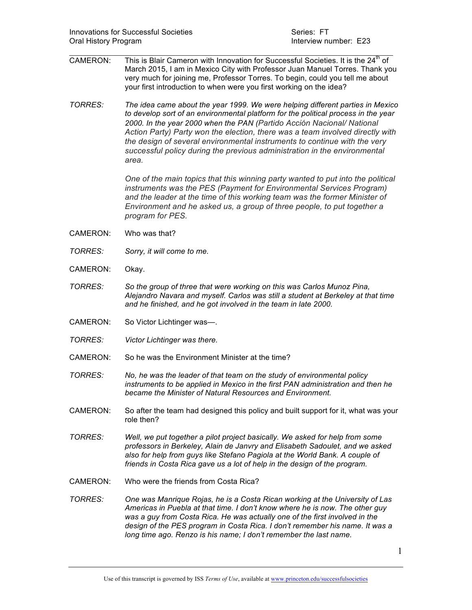- $\mathcal{L}_\text{max}$  , and the contribution of the contribution of the contribution of the contribution of the contribution of the contribution of the contribution of the contribution of the contribution of the contribution of t CAMERON: This is Blair Cameron with Innovation for Successful Societies. It is the  $24<sup>th</sup>$  of March 2015, I am in Mexico City with Professor Juan Manuel Torres. Thank you very much for joining me, Professor Torres. To begin, could you tell me about your first introduction to when were you first working on the idea?
- *TORRES: The idea came about the year 1999. We were helping different parties in Mexico to develop sort of an environmental platform for the political process in the year 2000. In the year 2000 when the PAN (Partido Acción Nacional/ National Action Party) Party won the election, there was a team involved directly with the design of several environmental instruments to continue with the very successful policy during the previous administration in the environmental area.*

*One of the main topics that this winning party wanted to put into the political instruments was the PES (Payment for Environmental Services Program) and the leader at the time of this working team was the former Minister of Environment and he asked us, a group of three people, to put together a program for PES.* 

- CAMERON: Who was that?
- *TORRES: Sorry, it will come to me.*
- CAMERON: Okay.
- *TORRES: So the group of three that were working on this was Carlos Munoz Pina, Alejandro Navara and myself. Carlos was still a student at Berkeley at that time and he finished, and he got involved in the team in late 2000.*
- CAMERON: So Victor Lichtinger was—.
- *TORRES: Victor Lichtinger was there.*
- CAMERON: So he was the Environment Minister at the time?
- *TORRES: No, he was the leader of that team on the study of environmental policy instruments to be applied in Mexico in the first PAN administration and then he became the Minister of Natural Resources and Environment.*
- CAMERON: So after the team had designed this policy and built support for it, what was your role then?
- *TORRES: Well, we put together a pilot project basically. We asked for help from some professors in Berkeley, Alain de Janvry and Elisabeth Sadoulet, and we asked also for help from guys like Stefano Pagiola at the World Bank. A couple of friends in Costa Rica gave us a lot of help in the design of the program.*
- CAMERON: Who were the friends from Costa Rica?
- *TORRES: One was Manrique Rojas, he is a Costa Rican working at the University of Las Americas in Puebla at that time. I don't know where he is now. The other guy was a guy from Costa Rica. He was actually one of the first involved in the design of the PES program in Costa Rica. I don't remember his name. It was a long time ago. Renzo is his name; I don't remember the last name.*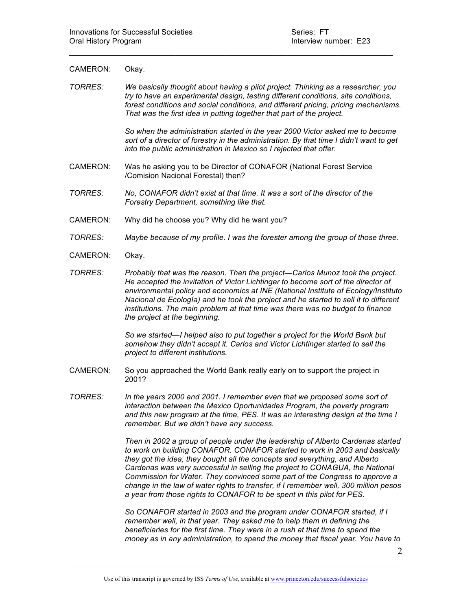## CAMERON: Okay.

*TORRES: We basically thought about having a pilot project. Thinking as a researcher, you try to have an experimental design, testing different conditions, site conditions, forest conditions and social conditions, and different pricing, pricing mechanisms. That was the first idea in putting together that part of the project.* 

 $\mathcal{L}_\text{max}$  and  $\mathcal{L}_\text{max}$  and  $\mathcal{L}_\text{max}$  and  $\mathcal{L}_\text{max}$  and  $\mathcal{L}_\text{max}$  and  $\mathcal{L}_\text{max}$ 

*So when the administration started in the year 2000 Victor asked me to become sort of a director of forestry in the administration. By that time I didn't want to get into the public administration in Mexico so I rejected that offer.* 

- CAMERON: Was he asking you to be Director of CONAFOR (National Forest Service /Comision Nacional Forestal) then?
- *TORRES: No, CONAFOR didn't exist at that time. It was a sort of the director of the Forestry Department, something like that.*
- CAMERON: Why did he choose you? Why did he want you?
- *TORRES: Maybe because of my profile. I was the forester among the group of those three.*
- CAMERON: Okay.
- *TORRES: Probably that was the reason. Then the project—Carlos Munoz took the project. He accepted the invitation of Victor Lichtinger to become sort of the director of environmental policy and economics at INE (National Institute of Ecology/Instituto Nacional de Ecología) and he took the project and he started to sell it to different institutions. The main problem at that time was there was no budget to finance the project at the beginning.*

*So we started—I helped also to put together a project for the World Bank but somehow they didn't accept it. Carlos and Victor Lichtinger started to sell the project to different institutions.* 

- CAMERON: So you approached the World Bank really early on to support the project in 2001?
- *TORRES: In the years 2000 and 2001. I remember even that we proposed some sort of interaction between the Mexico Oportunidades Program, the poverty program and this new program at the time, PES. It was an interesting design at the time I remember. But we didn't have any success.*

*Then in 2002 a group of people under the leadership of Alberto Cardenas started to work on building CONAFOR. CONAFOR started to work in 2003 and basically they got the idea, they bought all the concepts and everything, and Alberto Cardenas was very successful in selling the project to CONAGUA, the National Commission for Water. They convinced some part of the Congress to approve a change in the law of water rights to transfer, if I remember well, 300 million pesos a year from those rights to CONAFOR to be spent in this pilot for PES.* 

*So CONAFOR started in 2003 and the program under CONAFOR started, if I remember well, in that year. They asked me to help them in defining the beneficiaries for the first time. They were in a rush at that time to spend the money as in any administration, to spend the money that fiscal year. You have to*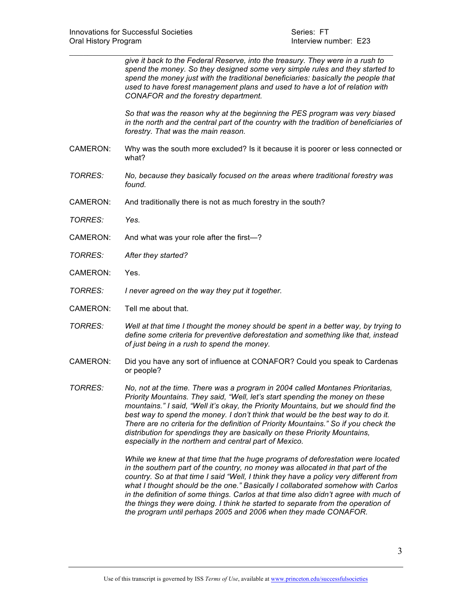*give it back to the Federal Reserve, into the treasury. They were in a rush to spend the money. So they designed some very simple rules and they started to spend the money just with the traditional beneficiaries: basically the people that used to have forest management plans and used to have a lot of relation with CONAFOR and the forestry department.* 

*So that was the reason why at the beginning the PES program was very biased in the north and the central part of the country with the tradition of beneficiaries of forestry. That was the main reason.* 

CAMERON: Why was the south more excluded? Is it because it is poorer or less connected or what?

 $\mathcal{L}_\text{max}$  and  $\mathcal{L}_\text{max}$  and  $\mathcal{L}_\text{max}$  and  $\mathcal{L}_\text{max}$  and  $\mathcal{L}_\text{max}$  and  $\mathcal{L}_\text{max}$ 

- *TORRES: No, because they basically focused on the areas where traditional forestry was found.*
- CAMERON: And traditionally there is not as much forestry in the south?
- *TORRES: Yes.*
- CAMERON: And what was your role after the first—?
- *TORRES: After they started?*
- CAMERON: Yes.
- *TORRES: I never agreed on the way they put it together.*
- CAMERON: Tell me about that.
- *TORRES: Well at that time I thought the money should be spent in a better way, by trying to define some criteria for preventive deforestation and something like that, instead of just being in a rush to spend the money.*
- CAMERON: Did you have any sort of influence at CONAFOR? Could you speak to Cardenas or people?
- *TORRES: No, not at the time. There was a program in 2004 called Montanes Prioritarias, Priority Mountains. They said, "Well, let's start spending the money on these mountains." I said, "Well it's okay, the Priority Mountains, but we should find the best way to spend the money. I don't think that would be the best way to do it. There are no criteria for the definition of Priority Mountains." So if you check the distribution for spendings they are basically on these Priority Mountains, especially in the northern and central part of Mexico.*

*While we knew at that time that the huge programs of deforestation were located in the southern part of the country, no money was allocated in that part of the country. So at that time I said "Well, I think they have a policy very different from what I thought should be the one." Basically I collaborated somehow with Carlos*  in the definition of some things. Carlos at that time also didn't agree with much of *the things they were doing. I think he started to separate from the operation of the program until perhaps 2005 and 2006 when they made CONAFOR.*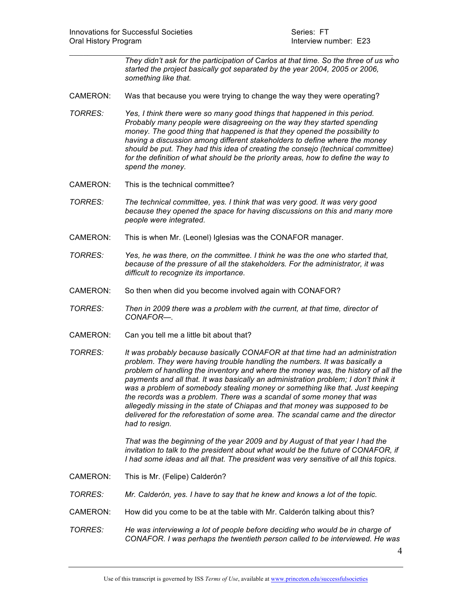*They didn't ask for the participation of Carlos at that time. So the three of us who started the project basically got separated by the year 2004, 2005 or 2006, something like that.* 

CAMERON: Was that because you were trying to change the way they were operating?

 $\mathcal{L}_\text{max}$  and  $\mathcal{L}_\text{max}$  and  $\mathcal{L}_\text{max}$  and  $\mathcal{L}_\text{max}$  and  $\mathcal{L}_\text{max}$  and  $\mathcal{L}_\text{max}$ 

- *TORRES: Yes, I think there were so many good things that happened in this period. Probably many people were disagreeing on the way they started spending money. The good thing that happened is that they opened the possibility to having a discussion among different stakeholders to define where the money should be put. They had this idea of creating the consejo (technical committee) for the definition of what should be the priority areas, how to define the way to spend the money.*
- CAMERON: This is the technical committee?
- *TORRES: The technical committee, yes. I think that was very good. It was very good because they opened the space for having discussions on this and many more people were integrated.*
- CAMERON: This is when Mr. (Leonel) Iglesias was the CONAFOR manager.
- *TORRES: Yes, he was there, on the committee. I think he was the one who started that, because of the pressure of all the stakeholders. For the administrator, it was difficult to recognize its importance.*
- CAMERON: So then when did you become involved again with CONAFOR?
- *TORRES: Then in 2009 there was a problem with the current, at that time, director of CONAFOR—.*
- CAMERON: Can you tell me a little bit about that?
- *TORRES: It was probably because basically CONAFOR at that time had an administration problem. They were having trouble handling the numbers. It was basically a problem of handling the inventory and where the money was, the history of all the*  payments and all that. It was basically an administration problem; I don't think it *was a problem of somebody stealing money or something like that. Just keeping the records was a problem. There was a scandal of some money that was allegedly missing in the state of Chiapas and that money was supposed to be delivered for the reforestation of some area. The scandal came and the director had to resign.*

*That was the beginning of the year 2009 and by August of that year I had the invitation to talk to the president about what would be the future of CONAFOR, if I had some ideas and all that. The president was very sensitive of all this topics.* 

- CAMERON: This is Mr. (Felipe) Calderón?
- *TORRES: Mr. Calderón, yes. I have to say that he knew and knows a lot of the topic.*
- CAMERON: How did you come to be at the table with Mr. Calderón talking about this?
- *TORRES: He was interviewing a lot of people before deciding who would be in charge of CONAFOR. I was perhaps the twentieth person called to be interviewed. He was*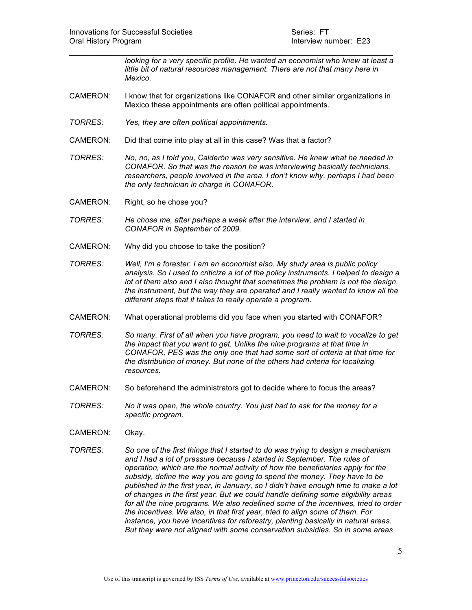*looking for a very specific profile. He wanted an economist who knew at least a little bit of natural resources management. There are not that many here in Mexico.* 

CAMERON: I know that for organizations like CONAFOR and other similar organizations in Mexico these appointments are often political appointments.

 $\mathcal{L}_\text{max}$  and  $\mathcal{L}_\text{max}$  and  $\mathcal{L}_\text{max}$  and  $\mathcal{L}_\text{max}$  and  $\mathcal{L}_\text{max}$  and  $\mathcal{L}_\text{max}$ 

- *TORRES: Yes, they are often political appointments.*
- CAMERON: Did that come into play at all in this case? Was that a factor?
- *TORRES: No, no, as I told you, Calderón was very sensitive. He knew what he needed in CONAFOR. So that was the reason he was interviewing basically technicians, researchers, people involved in the area. I don't know why, perhaps I had been the only technician in charge in CONAFOR.*
- CAMERON: Right, so he chose you?
- *TORRES: He chose me, after perhaps a week after the interview, and I started in CONAFOR in September of 2009.*
- CAMERON: Why did you choose to take the position?
- *TORRES: Well, I'm a forester. I am an economist also. My study area is public policy analysis. So I used to criticize a lot of the policy instruments. I helped to design a lot of them also and I also thought that sometimes the problem is not the design, the instrument, but the way they are operated and I really wanted to know all the different steps that it takes to really operate a program.*
- CAMERON: What operational problems did you face when you started with CONAFOR?
- *TORRES: So many. First of all when you have program, you need to wait to vocalize to get the impact that you want to get. Unlike the nine programs at that time in CONAFOR, PES was the only one that had some sort of criteria at that time for the distribution of money. But none of the others had criteria for localizing resources.*
- CAMERON: So beforehand the administrators got to decide where to focus the areas?
- *TORRES: No it was open, the whole country. You just had to ask for the money for a specific program.*
- CAMERON: Okay.
- *TORRES: So one of the first things that I started to do was trying to design a mechanism and I had a lot of pressure because I started in September. The rules of operation, which are the normal activity of how the beneficiaries apply for the subsidy, define the way you are going to spend the money. They have to be published in the first year, in January, so I didn't have enough time to make a lot of changes in the first year. But we could handle defining some eligibility areas for all the nine programs. We also redefined some of the incentives, tried to order the incentives. We also, in that first year, tried to align some of them. For instance, you have incentives for reforestry, planting basically in natural areas. But they were not aligned with some conservation subsidies. So in some areas*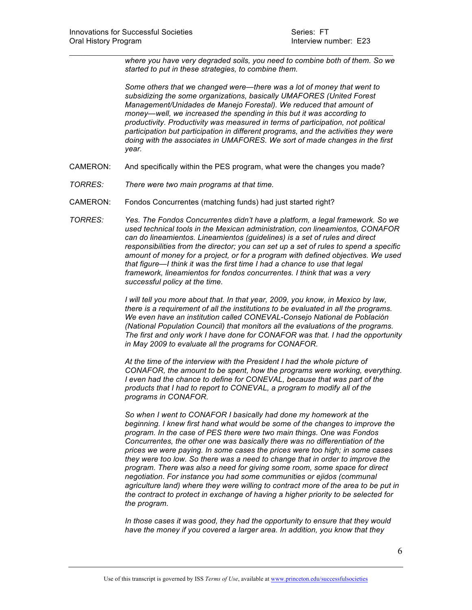*where you have very degraded soils, you need to combine both of them. So we started to put in these strategies, to combine them.* 

*Some others that we changed were—there was a lot of money that went to subsidizing the some organizations, basically UMAFORES (United Forest Management/Unidades de Manejo Forestal). We reduced that amount of money—well, we increased the spending in this but it was according to productivity. Productivity was measured in terms of participation, not political participation but participation in different programs, and the activities they were doing with the associates in UMAFORES. We sort of made changes in the first year.* 

CAMERON: And specifically within the PES program, what were the changes you made?

 $\mathcal{L}_\text{max}$  and  $\mathcal{L}_\text{max}$  and  $\mathcal{L}_\text{max}$  and  $\mathcal{L}_\text{max}$  and  $\mathcal{L}_\text{max}$  and  $\mathcal{L}_\text{max}$ 

- *TORRES: There were two main programs at that time.*
- CAMERON: Fondos Concurrentes (matching funds) had just started right?

*TORRES: Yes. The Fondos Concurrentes didn't have a platform, a legal framework. So we used technical tools in the Mexican administration, con lineamientos, CONAFOR can do lineamientos. Lineamientos (guidelines) is a set of rules and direct responsibilities from the director; you can set up a set of rules to spend a specific amount of money for a project, or for a program with defined objectives. We used that figure—I think it was the first time I had a chance to use that legal framework, lineamientos for fondos concurrentes. I think that was a very successful policy at the time.* 

> *I will tell you more about that. In that year, 2009, you know, in Mexico by law, there is a requirement of all the institutions to be evaluated in all the programs. We even have an institution called CONEVAL-Consejo National de Población (National Population Council) that monitors all the evaluations of the programs. The first and only work I have done for CONAFOR was that. I had the opportunity in May 2009 to evaluate all the programs for CONAFOR.*

> *At the time of the interview with the President I had the whole picture of CONAFOR, the amount to be spent, how the programs were working, everything. I even had the chance to define for CONEVAL, because that was part of the products that I had to report to CONEVAL, a program to modify all of the programs in CONAFOR.*

> *So when I went to CONAFOR I basically had done my homework at the beginning. I knew first hand what would be some of the changes to improve the program. In the case of PES there were two main things. One was Fondos Concurrentes, the other one was basically there was no differentiation of the prices we were paying. In some cases the prices were too high; in some cases they were too low. So there was a need to change that in order to improve the program. There was also a need for giving some room, some space for direct negotiation. For instance you had some communities or ejidos (communal agriculture land) where they were willing to contract more of the area to be put in the contract to protect in exchange of having a higher priority to be selected for the program.*

*In those cases it was good, they had the opportunity to ensure that they would have the money if you covered a larger area. In addition, you know that they*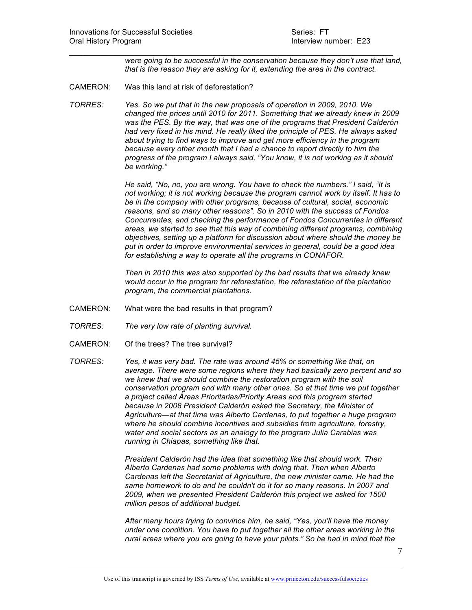*were going to be successful in the conservation because they don't use that land, that is the reason they are asking for it, extending the area in the contract.*

CAMERON: Was this land at risk of deforestation?

*TORRES: Yes. So we put that in the new proposals of operation in 2009, 2010. We changed the prices until 2010 for 2011. Something that we already knew in 2009 was the PES. By the way, that was one of the programs that President Calderón had very fixed in his mind. He really liked the principle of PES. He always asked about trying to find ways to improve and get more efficiency in the program because every other month that I had a chance to report directly to him the progress of the program I always said, "You know, it is not working as it should be working."*

 $\mathcal{L}_\text{max}$  and  $\mathcal{L}_\text{max}$  and  $\mathcal{L}_\text{max}$  and  $\mathcal{L}_\text{max}$  and  $\mathcal{L}_\text{max}$  and  $\mathcal{L}_\text{max}$ 

*He said, "No, no, you are wrong. You have to check the numbers." I said, "It is not working; it is not working because the program cannot work by itself. It has to be in the company with other programs, because of cultural, social, economic reasons, and so many other reasons". So in 2010 with the success of Fondos Concurrentes, and checking the performance of Fondos Concurrentes in different areas, we started to see that this way of combining different programs, combining objectives, setting up a platform for discussion about where should the money be put in order to improve environmental services in general, could be a good idea for establishing a way to operate all the programs in CONAFOR.* 

*Then in 2010 this was also supported by the bad results that we already knew would occur in the program for reforestation, the reforestation of the plantation program, the commercial plantations.*

- CAMERON: What were the bad results in that program?
- *TORRES: The very low rate of planting survival.*
- CAMERON: Of the trees? The tree survival?
- *TORRES: Yes, it was very bad. The rate was around 45% or something like that, on average. There were some regions where they had basically zero percent and so we knew that we should combine the restoration program with the soil conservation program and with many other ones. So at that time we put together a project called Áreas Prioritarias/Priority Areas and this program started because in 2008 President Calderón asked the Secretary, the Minister of Agriculture—at that time was Alberto Cardenas, to put together a huge program where he should combine incentives and subsidies from agriculture, forestry, water and social sectors as an analogy to the program Julia Carabias was running in Chiapas, something like that.*

*President Calderón had the idea that something like that should work. Then Alberto Cardenas had some problems with doing that. Then when Alberto Cardenas left the Secretariat of Agriculture, the new minister came. He had the same homework to do and he couldn't do it for so many reasons. In 2007 and 2009, when we presented President Calderón this project we asked for 1500 million pesos of additional budget.* 

*After many hours trying to convince him, he said, "Yes, you'll have the money under one condition. You have to put together all the other areas working in the rural areas where you are going to have your pilots." So he had in mind that the*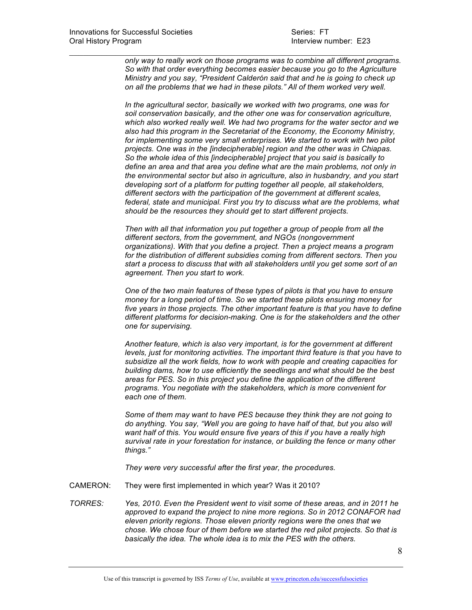$\mathcal{L}_\text{max}$  and  $\mathcal{L}_\text{max}$  and  $\mathcal{L}_\text{max}$  and  $\mathcal{L}_\text{max}$  and  $\mathcal{L}_\text{max}$  and  $\mathcal{L}_\text{max}$ *only way to really work on those programs was to combine all different programs. So with that order everything becomes easier because you go to the Agriculture Ministry and you say, "President Calderón said that and he is going to check up on all the problems that we had in these pilots." All of them worked very well.*

> *In the agricultural sector, basically we worked with two programs, one was for soil conservation basically, and the other one was for conservation agriculture, which also worked really well. We had two programs for the water sector and we also had this program in the Secretariat of the Economy, the Economy Ministry, for implementing some very small enterprises. We started to work with two pilot projects. One was in the [indecipherable] region and the other was in Chiapas. So the whole idea of this [indecipherable] project that you said is basically to define an area and that area you define what are the main problems, not only in the environmental sector but also in agriculture, also in husbandry, and you start developing sort of a platform for putting together all people, all stakeholders, different sectors with the participation of the government at different scales, federal, state and municipal. First you try to discuss what are the problems, what should be the resources they should get to start different projects.*

> *Then with all that information you put together a group of people from all the different sectors, from the government, and NGOs (nongovernment organizations). With that you define a project. Then a project means a program for the distribution of different subsidies coming from different sectors. Then you start a process to discuss that with all stakeholders until you get some sort of an agreement. Then you start to work.*

*One of the two main features of these types of pilots is that you have to ensure money for a long period of time. So we started these pilots ensuring money for five years in those projects. The other important feature is that you have to define different platforms for decision-making. One is for the stakeholders and the other one for supervising.* 

*Another feature, which is also very important, is for the government at different levels, just for monitoring activities. The important third feature is that you have to subsidize all the work fields, how to work with people and creating capacities for building dams, how to use efficiently the seedlings and what should be the best areas for PES. So in this project you define the application of the different programs. You negotiate with the stakeholders, which is more convenient for each one of them.* 

*Some of them may want to have PES because they think they are not going to do anything. You say, "Well you are going to have half of that, but you also will want half of this. You would ensure five years of this if you have a really high survival rate in your forestation for instance, or building the fence or many other things."*

*They were very successful after the first year, the procedures.* 

- CAMERON: They were first implemented in which year? Was it 2010?
- *TORRES: Yes, 2010. Even the President went to visit some of these areas, and in 2011 he approved to expand the project to nine more regions. So in 2012 CONAFOR had eleven priority regions. Those eleven priority regions were the ones that we chose. We chose four of them before we started the red pilot projects. So that is basically the idea. The whole idea is to mix the PES with the others.*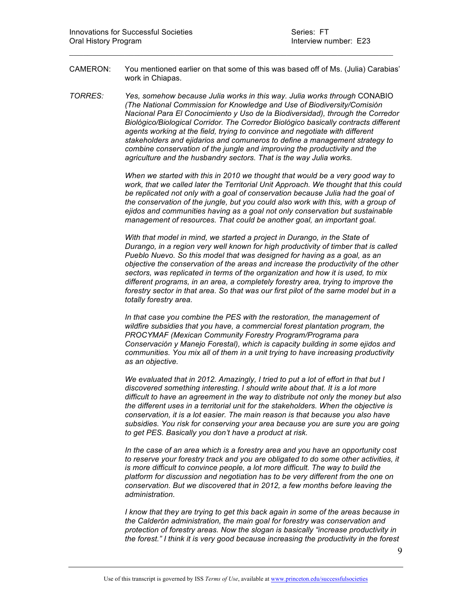CAMERON: You mentioned earlier on that some of this was based off of Ms. (Julia) Carabias' work in Chiapas.

 $\mathcal{L}_\text{max}$  and  $\mathcal{L}_\text{max}$  and  $\mathcal{L}_\text{max}$  and  $\mathcal{L}_\text{max}$  and  $\mathcal{L}_\text{max}$  and  $\mathcal{L}_\text{max}$ 

*TORRES: Yes, somehow because Julia works in this way. Julia works through* CONABIO *(The National Commission for Knowledge and Use of Biodiversity/Comisión Nacional Para El Conocimiento y Uso de la Biodiversidad), through the Corredor Biológico/Biological Corridor. The Corredor Biológico basically contracts different agents working at the field, trying to convince and negotiate with different stakeholders and ejidarios and comuneros to define a management strategy to combine conservation of the jungle and improving the productivity and the agriculture and the husbandry sectors. That is the way Julia works.* 

> *When we started with this in 2010 we thought that would be a very good way to work, that we called later the Territorial Unit Approach. We thought that this could be replicated not only with a goal of conservation because Julia had the goal of the conservation of the jungle, but you could also work with this, with a group of ejidos and communities having as a goal not only conservation but sustainable management of resources. That could be another goal, an important goal.*

*With that model in mind, we started a project in Durango, in the State of Durango, in a region very well known for high productivity of timber that is called Pueblo Nuevo. So this model that was designed for having as a goal, as an objective the conservation of the areas and increase the productivity of the other sectors, was replicated in terms of the organization and how it is used, to mix different programs, in an area, a completely forestry area, trying to improve the forestry sector in that area. So that was our first pilot of the same model but in a totally forestry area.* 

*In that case you combine the PES with the restoration, the management of wildfire subsidies that you have, a commercial forest plantation program, the PROCYMAF (Mexican Community Forestry Program/Programa para Conservación y Manejo Forestal), which is capacity building in some ejidos and communities. You mix all of them in a unit trying to have increasing productivity as an objective.* 

*We evaluated that in 2012. Amazingly, I tried to put a lot of effort in that but I discovered something interesting. I should write about that. It is a lot more difficult to have an agreement in the way to distribute not only the money but also the different uses in a territorial unit for the stakeholders. When the objective is conservation, it is a lot easier. The main reason is that because you also have subsidies. You risk for conserving your area because you are sure you are going to get PES. Basically you don't have a product at risk.* 

*In the case of an area which is a forestry area and you have an opportunity cost to reserve your forestry track and you are obligated to do some other activities, it is more difficult to convince people, a lot more difficult. The way to build the platform for discussion and negotiation has to be very different from the one on conservation. But we discovered that in 2012, a few months before leaving the administration.* 

*I know that they are trying to get this back again in some of the areas because in the Calderón administration, the main goal for forestry was conservation and protection of forestry areas. Now the slogan is basically "increase productivity in the forest." I think it is very good because increasing the productivity in the forest* 

9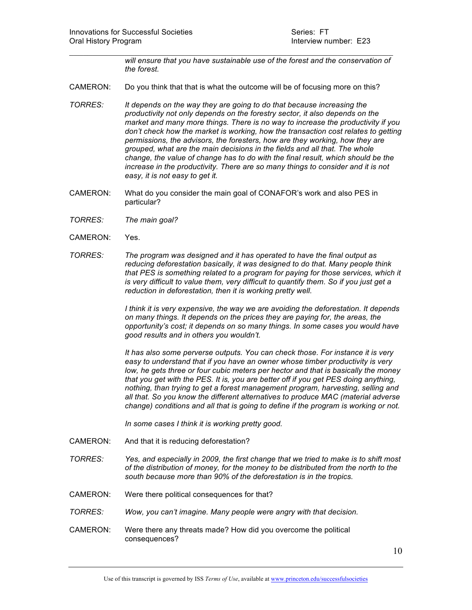*will ensure that you have sustainable use of the forest and the conservation of the forest.* 

CAMERON: Do you think that that is what the outcome will be of focusing more on this?

 $\mathcal{L}_\text{max}$  and  $\mathcal{L}_\text{max}$  and  $\mathcal{L}_\text{max}$  and  $\mathcal{L}_\text{max}$  and  $\mathcal{L}_\text{max}$  and  $\mathcal{L}_\text{max}$ 

- *TORRES: It depends on the way they are going to do that because increasing the productivity not only depends on the forestry sector, it also depends on the market and many more things. There is no way to increase the productivity if you don't check how the market is working, how the transaction cost relates to getting permissions, the advisors, the foresters, how are they working, how they are grouped, what are the main decisions in the fields and all that. The whole change, the value of change has to do with the final result, which should be the increase in the productivity. There are so many things to consider and it is not easy, it is not easy to get it.*
- CAMERON: What do you consider the main goal of CONAFOR's work and also PES in particular?
- *TORRES: The main goal?*
- CAMERON: Yes.
- *TORRES: The program was designed and it has operated to have the final output as reducing deforestation basically, it was designed to do that. Many people think that PES is something related to a program for paying for those services, which it is very difficult to value them, very difficult to quantify them. So if you just get a reduction in deforestation, then it is working pretty well.*

*I think it is very expensive, the way we are avoiding the deforestation. It depends on many things. It depends on the prices they are paying for, the areas, the opportunity's cost; it depends on so many things. In some cases you would have good results and in others you wouldn't.* 

*It has also some perverse outputs. You can check those. For instance it is very easy to understand that if you have an owner whose timber productivity is very low, he gets three or four cubic meters per hector and that is basically the money that you get with the PES. It is, you are better off if you get PES doing anything, nothing, than trying to get a forest management program, harvesting, selling and all that. So you know the different alternatives to produce MAC (material adverse change) conditions and all that is going to define if the program is working or not.* 

*In some cases I think it is working pretty good.* 

- CAMERON: And that it is reducing deforestation?
- *TORRES: Yes, and especially in 2009, the first change that we tried to make is to shift most of the distribution of money, for the money to be distributed from the north to the south because more than 90% of the deforestation is in the tropics.*
- CAMERON: Were there political consequences for that?
- *TORRES: Wow, you can't imagine. Many people were angry with that decision.*
- CAMERON: Were there any threats made? How did you overcome the political consequences?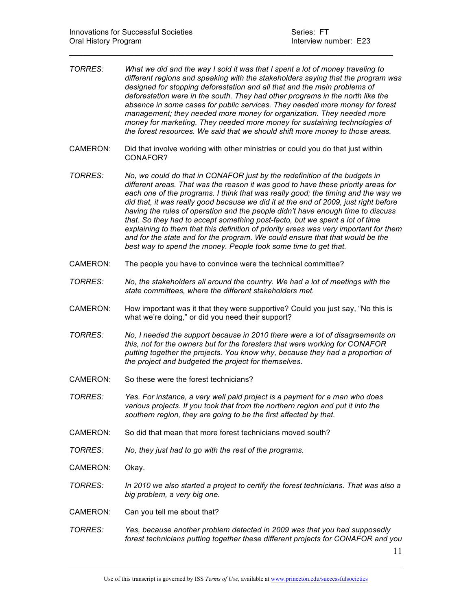| TORRES:         | What we did and the way I sold it was that I spent a lot of money traveling to<br>different regions and speaking with the stakeholders saying that the program was<br>designed for stopping deforestation and all that and the main problems of<br>deforestation were in the south. They had other programs in the north like the<br>absence in some cases for public services. They needed more money for forest<br>management; they needed more money for organization. They needed more<br>money for marketing. They needed more money for sustaining technologies of<br>the forest resources. We said that we should shift more money to those areas.                                                                                                    |  |
|-----------------|--------------------------------------------------------------------------------------------------------------------------------------------------------------------------------------------------------------------------------------------------------------------------------------------------------------------------------------------------------------------------------------------------------------------------------------------------------------------------------------------------------------------------------------------------------------------------------------------------------------------------------------------------------------------------------------------------------------------------------------------------------------|--|
| CAMERON:        | Did that involve working with other ministries or could you do that just within<br>CONAFOR?                                                                                                                                                                                                                                                                                                                                                                                                                                                                                                                                                                                                                                                                  |  |
| TORRES:         | No, we could do that in CONAFOR just by the redefinition of the budgets in<br>different areas. That was the reason it was good to have these priority areas for<br>each one of the programs. I think that was really good; the timing and the way we<br>did that, it was really good because we did it at the end of 2009, just right before<br>having the rules of operation and the people didn't have enough time to discuss<br>that. So they had to accept something post-facto, but we spent a lot of time<br>explaining to them that this definition of priority areas was very important for them<br>and for the state and for the program. We could ensure that that would be the<br>best way to spend the money. People took some time to get that. |  |
| CAMERON:        | The people you have to convince were the technical committee?                                                                                                                                                                                                                                                                                                                                                                                                                                                                                                                                                                                                                                                                                                |  |
| <b>TORRES:</b>  | No, the stakeholders all around the country. We had a lot of meetings with the<br>state committees, where the different stakeholders met.                                                                                                                                                                                                                                                                                                                                                                                                                                                                                                                                                                                                                    |  |
| CAMERON:        | How important was it that they were supportive? Could you just say, "No this is<br>what we're doing," or did you need their support?                                                                                                                                                                                                                                                                                                                                                                                                                                                                                                                                                                                                                         |  |
| <b>TORRES:</b>  | No, I needed the support because in 2010 there were a lot of disagreements on<br>this, not for the owners but for the foresters that were working for CONAFOR<br>putting together the projects. You know why, because they had a proportion of<br>the project and budgeted the project for themselves.                                                                                                                                                                                                                                                                                                                                                                                                                                                       |  |
| <b>CAMERON:</b> | So these were the forest technicians?                                                                                                                                                                                                                                                                                                                                                                                                                                                                                                                                                                                                                                                                                                                        |  |
| <b>TORRES:</b>  | Yes. For instance, a very well paid project is a payment for a man who does<br>various projects. If you took that from the northern region and put it into the<br>southern region, they are going to be the first affected by that.                                                                                                                                                                                                                                                                                                                                                                                                                                                                                                                          |  |
| CAMERON:        | So did that mean that more forest technicians moved south?                                                                                                                                                                                                                                                                                                                                                                                                                                                                                                                                                                                                                                                                                                   |  |
| <b>TORRES:</b>  | No, they just had to go with the rest of the programs.                                                                                                                                                                                                                                                                                                                                                                                                                                                                                                                                                                                                                                                                                                       |  |
| CAMERON:        | Okay.                                                                                                                                                                                                                                                                                                                                                                                                                                                                                                                                                                                                                                                                                                                                                        |  |
| <b>TORRES:</b>  | In 2010 we also started a project to certify the forest technicians. That was also a<br>big problem, a very big one.                                                                                                                                                                                                                                                                                                                                                                                                                                                                                                                                                                                                                                         |  |
| CAMERON:        | Can you tell me about that?                                                                                                                                                                                                                                                                                                                                                                                                                                                                                                                                                                                                                                                                                                                                  |  |
| <b>TORRES:</b>  | Yes, because another problem detected in 2009 was that you had supposedly<br>forest technicians putting together these different projects for CONAFOR and you<br>11                                                                                                                                                                                                                                                                                                                                                                                                                                                                                                                                                                                          |  |

 $\mathcal{L}_\text{max}$  and  $\mathcal{L}_\text{max}$  and  $\mathcal{L}_\text{max}$  and  $\mathcal{L}_\text{max}$  and  $\mathcal{L}_\text{max}$  and  $\mathcal{L}_\text{max}$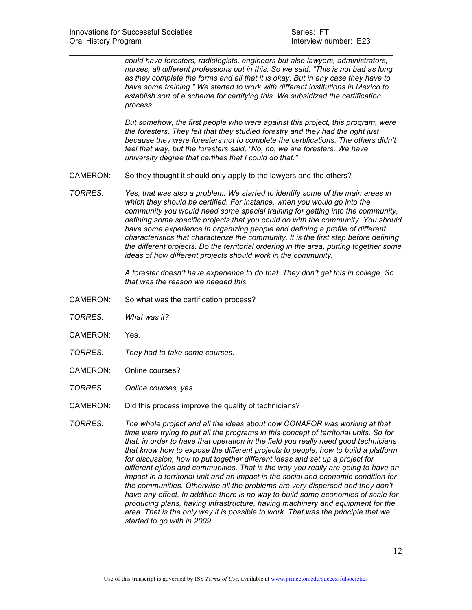*could have foresters, radiologists, engineers but also lawyers, administrators, nurses, all different professions put in this. So we said, "This is not bad as long as they complete the forms and all that it is okay. But in any case they have to have some training." We started to work with different institutions in Mexico to establish sort of a scheme for certifying this. We subsidized the certification process.* 

 $\mathcal{L}_\text{max}$  and  $\mathcal{L}_\text{max}$  and  $\mathcal{L}_\text{max}$  and  $\mathcal{L}_\text{max}$  and  $\mathcal{L}_\text{max}$  and  $\mathcal{L}_\text{max}$ 

*But somehow, the first people who were against this project, this program, were the foresters. They felt that they studied forestry and they had the right just because they were foresters not to complete the certifications. The others didn't feel that way, but the foresters said, "No, no, we are foresters. We have university degree that certifies that I could do that."*

- CAMERON: So they thought it should only apply to the lawyers and the others?
- *TORRES: Yes, that was also a problem. We started to identify some of the main areas in which they should be certified. For instance, when you would go into the community you would need some special training for getting into the community, defining some specific projects that you could do with the community. You should have some experience in organizing people and defining a profile of different characteristics that characterize the community. It is the first step before defining the different projects. Do the territorial ordering in the area, putting together some ideas of how different projects should work in the community.*

*A forester doesn't have experience to do that. They don't get this in college. So that was the reason we needed this.* 

- CAMERON: So what was the certification process?
- *TORRES: What was it?*
- CAMERON: Yes.
- *TORRES: They had to take some courses.*
- CAMERON: Online courses?
- *TORRES: Online courses, yes.*
- CAMERON: Did this process improve the quality of technicians?
- *TORRES: The whole project and all the ideas about how CONAFOR was working at that time were trying to put all the programs in this concept of territorial units. So for that, in order to have that operation in the field you really need good technicians that know how to expose the different projects to people, how to build a platform for discussion, how to put together different ideas and set up a project for different ejidos and communities. That is the way you really are going to have an impact in a territorial unit and an impact in the social and economic condition for the communities. Otherwise all the problems are very dispersed and they don't have any effect. In addition there is no way to build some economies of scale for producing plans, having infrastructure, having machinery and equipment for the area. That is the only way it is possible to work. That was the principle that we started to go with in 2009.*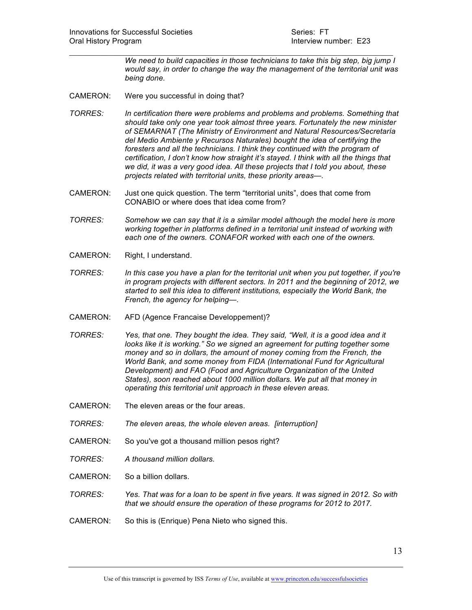*We need to build capacities in those technicians to take this big step, big jump I would say, in order to change the way the management of the territorial unit was being done.* 

- CAMERON: Were you successful in doing that?
- *TORRES: In certification there were problems and problems and problems. Something that should take only one year took almost three years. Fortunately the new minister of SEMARNAT (The Ministry of Environment and Natural Resources/Secretaría del Medio Ambiente y Recursos Naturales) bought the idea of certifying the foresters and all the technicians. I think they continued with the program of certification, I don't know how straight it's stayed. I think with all the things that we did, it was a very good idea. All these projects that I told you about, these projects related with territorial units, these priority areas—.*

 $\mathcal{L}_\text{max}$  and  $\mathcal{L}_\text{max}$  and  $\mathcal{L}_\text{max}$  and  $\mathcal{L}_\text{max}$  and  $\mathcal{L}_\text{max}$  and  $\mathcal{L}_\text{max}$ 

- CAMERON: Just one quick question. The term "territorial units", does that come from CONABIO or where does that idea come from?
- *TORRES: Somehow we can say that it is a similar model although the model here is more working together in platforms defined in a territorial unit instead of working with each one of the owners. CONAFOR worked with each one of the owners.*
- CAMERON: Right, I understand.
- *TORRES: In this case you have a plan for the territorial unit when you put together, if you're in program projects with different sectors. In 2011 and the beginning of 2012, we started to sell this idea to different institutions, especially the World Bank, the French, the agency for helping—.*
- CAMERON: AFD (Agence Francaise Developpement)?
- *TORRES: Yes, that one. They bought the idea. They said, "Well, it is a good idea and it looks like it is working." So we signed an agreement for putting together some money and so in dollars, the amount of money coming from the French, the World Bank, and some money from FIDA (International Fund for Agricultural Development) and FAO (Food and Agriculture Organization of the United States), soon reached about 1000 million dollars. We put all that money in operating this territorial unit approach in these eleven areas.*
- CAMERON: The eleven areas or the four areas.
- *TORRES: The eleven areas, the whole eleven areas. [interruption]*
- CAMERON: So you've got a thousand million pesos right?
- *TORRES: A thousand million dollars.*
- CAMERON: So a billion dollars.
- *TORRES: Yes. That was for a loan to be spent in five years. It was signed in 2012. So with that we should ensure the operation of these programs for 2012 to 2017.*
- CAMERON: So this is (Enrique) Pena Nieto who signed this.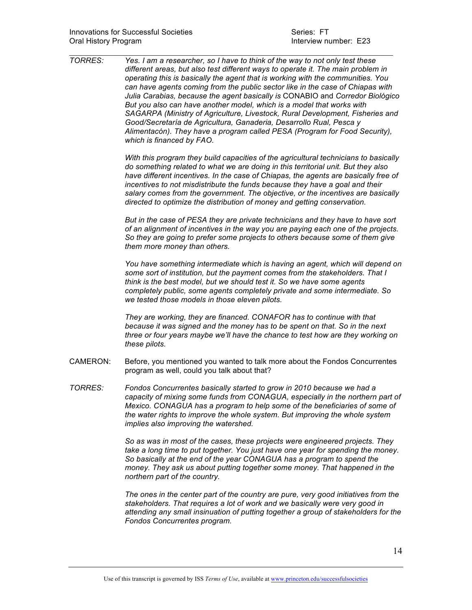| <b>TORRES:</b>  | Yes. I am a researcher, so I have to think of the way to not only test these<br>different areas, but also test different ways to operate it. The main problem in<br>operating this is basically the agent that is working with the communities. You<br>can have agents coming from the public sector like in the case of Chiapas with<br>Julia Carabias, because the agent basically is CONABIO and Corredor Biológico<br>But you also can have another model, which is a model that works with<br>SAGARPA (Ministry of Agriculture, Livestock, Rural Development, Fisheries and<br>Good/Secretaría de Agricultura, Ganaderia, Desarrollo Rual, Pesca y<br>Alimentacón). They have a program called PESA (Program for Food Security),<br>which is financed by FAO. |
|-----------------|--------------------------------------------------------------------------------------------------------------------------------------------------------------------------------------------------------------------------------------------------------------------------------------------------------------------------------------------------------------------------------------------------------------------------------------------------------------------------------------------------------------------------------------------------------------------------------------------------------------------------------------------------------------------------------------------------------------------------------------------------------------------|
|                 | With this program they build capacities of the agricultural technicians to basically<br>do something related to what we are doing in this territorial unit. But they also<br>have different incentives. In the case of Chiapas, the agents are basically free of<br>incentives to not misdistribute the funds because they have a goal and their<br>salary comes from the government. The objective, or the incentives are basically<br>directed to optimize the distribution of money and getting conservation.                                                                                                                                                                                                                                                   |
|                 | But in the case of PESA they are private technicians and they have to have sort<br>of an alignment of incentives in the way you are paying each one of the projects.<br>So they are going to prefer some projects to others because some of them give<br>them more money than others.                                                                                                                                                                                                                                                                                                                                                                                                                                                                              |
|                 | You have something intermediate which is having an agent, which will depend on<br>some sort of institution, but the payment comes from the stakeholders. That I<br>think is the best model, but we should test it. So we have some agents<br>completely public, some agents completely private and some intermediate. So<br>we tested those models in those eleven pilots.                                                                                                                                                                                                                                                                                                                                                                                         |
|                 | They are working, they are financed. CONAFOR has to continue with that<br>because it was signed and the money has to be spent on that. So in the next<br>three or four years maybe we'll have the chance to test how are they working on<br>these pilots.                                                                                                                                                                                                                                                                                                                                                                                                                                                                                                          |
| <b>CAMERON:</b> | Before, you mentioned you wanted to talk more about the Fondos Concurrentes<br>program as well, could you talk about that?                                                                                                                                                                                                                                                                                                                                                                                                                                                                                                                                                                                                                                         |
| <b>TORRES:</b>  | Fondos Concurrentes basically started to grow in 2010 because we had a<br>capacity of mixing some funds from CONAGUA, especially in the northern part of<br>Mexico. CONAGUA has a program to help some of the beneficiaries of some of<br>the water rights to improve the whole system. But improving the whole system<br>implies also improving the watershed.                                                                                                                                                                                                                                                                                                                                                                                                    |
|                 | So as was in most of the cases, these projects were engineered projects. They<br>take a long time to put together. You just have one year for spending the money.<br>So basically at the end of the year CONAGUA has a program to spend the<br>money. They ask us about putting together some money. That happened in the<br>northern part of the country.                                                                                                                                                                                                                                                                                                                                                                                                         |
|                 | The ones in the center part of the country are pure, very good initiatives from the<br>stakeholders. That requires a lot of work and we basically were very good in<br>attending any small insinuation of putting together a group of stakeholders for the<br>Fondos Concurrentes program.                                                                                                                                                                                                                                                                                                                                                                                                                                                                         |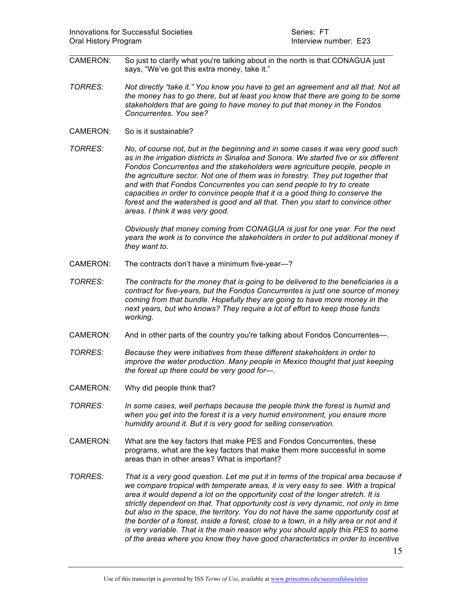$\mathcal{L}_\text{max}$  and  $\mathcal{L}_\text{max}$  and  $\mathcal{L}_\text{max}$  and  $\mathcal{L}_\text{max}$  and  $\mathcal{L}_\text{max}$  and  $\mathcal{L}_\text{max}$ CAMERON: So just to clarify what you're talking about in the north is that CONAGUA just says, "We've got this extra money, take it."

- *TORRES: Not directly "take it." You know you have to get an agreement and all that. Not all the money has to go there, but at least you know that there are going to be some stakeholders that are going to have money to put that money in the Fondos Concurrentes. You see?*
- CAMERON: So is it sustainable?

*TORRES: No, of course not, but in the beginning and in some cases it was very good such as in the irrigation districts in Sinaloa and Sonora. We started five or six different Fondos Concurrentes and the stakeholders were agriculture people, people in the agriculture sector. Not one of them was in forestry. They put together that and with that Fondos Concurrentes you can send people to try to create capacities in order to convince people that it is a good thing to conserve the forest and the watershed is good and all that. Then you start to convince other areas. I think it was very good.* 

> *Obviously that money coming from CONAGUA is just for one year. For the next years the work is to convince the stakeholders in order to put additional money if they want to.*

- CAMERON: The contracts don't have a minimum five-year*—*?
- *TORRES: The contracts for the money that is going to be delivered to the beneficiaries is a contract for five-years, but the Fondos Concurrentes is just one source of money coming from that bundle. Hopefully they are going to have more money in the next years, but who knows? They require a lot of effort to keep those funds working.*
- CAMERON: And in other parts of the country you're talking about Fondos Concurrentes—.
- *TORRES: Because they were initiatives from these different stakeholders in order to improve the water production. Many people in Mexico thought that just keeping the forest up there could be very good for—.*
- CAMERON: Why did people think that?
- *TORRES: In some cases, well perhaps because the people think the forest is humid and when you get into the forest it is a very humid environment, you ensure more humidity around it. But it is very good for selling conservation.*
- CAMERON: What are the key factors that make PES and Fondos Concurrentes, these programs, what are the key factors that make them more successful in some areas than in other areas? What is important?
- *TORRES: That is a very good question. Let me put it in terms of the tropical area because if we compare tropical with temperate areas, it is very easy to see. With a tropical area it would depend a lot on the opportunity cost of the longer stretch. It is strictly dependent on that. That opportunity cost is very dynamic, not only in time but also in the space, the territory. You do not have the same opportunity cost at the border of a forest, inside a forest, close to a town, in a hilly area or not and it is very variable. That is the main reason why you should apply this PES to some of the areas where you know they have good characteristics in order to incentive*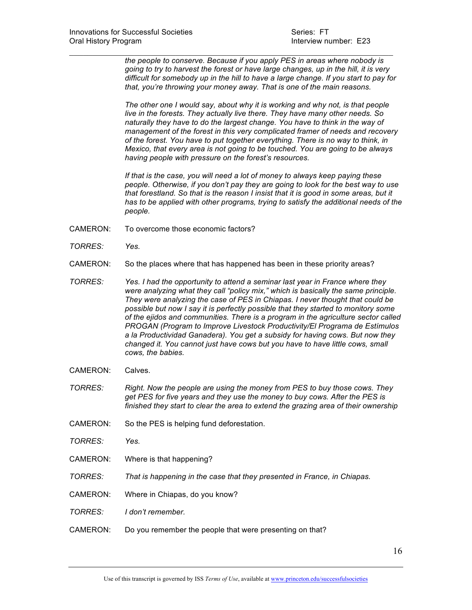$\mathcal{L}_\text{max}$  and  $\mathcal{L}_\text{max}$  and  $\mathcal{L}_\text{max}$  and  $\mathcal{L}_\text{max}$  and  $\mathcal{L}_\text{max}$  and  $\mathcal{L}_\text{max}$ *the people to conserve. Because if you apply PES in areas where nobody is going to try to harvest the forest or have large changes, up in the hill, it is very difficult for somebody up in the hill to have a large change. If you start to pay for that, you're throwing your money away. That is one of the main reasons.*

> *The other one I would say, about why it is working and why not, is that people live in the forests. They actually live there. They have many other needs. So naturally they have to do the largest change. You have to think in the way of management of the forest in this very complicated framer of needs and recovery of the forest. You have to put together everything. There is no way to think, in Mexico, that every area is not going to be touched. You are going to be always having people with pressure on the forest's resources.*

*If that is the case, you will need a lot of money to always keep paying these people. Otherwise, if you don't pay they are going to look for the best way to use that forestland. So that is the reason I insist that it is good in some areas, but it has to be applied with other programs, trying to satisfy the additional needs of the people.* 

- CAMERON: To overcome those economic factors?
- *TORRES: Yes.*
- CAMERON: So the places where that has happened has been in these priority areas?
- *TORRES: Yes. I had the opportunity to attend a seminar last year in France where they were analyzing what they call "policy mix," which is basically the same principle. They were analyzing the case of PES in Chiapas. I never thought that could be possible but now I say it is perfectly possible that they started to monitory some of the ejidos and communities. There is a program in the agriculture sector called PROGAN (Program to Improve Livestock Productivity/El Programa de Estímulos a la Productividad Ganadera). You get a subsidy for having cows. But now they changed it. You cannot just have cows but you have to have little cows, small cows, the babies.*
- CAMERON: Calves.
- *TORRES: Right. Now the people are using the money from PES to buy those cows. They get PES for five years and they use the money to buy cows. After the PES is finished they start to clear the area to extend the grazing area of their ownership*
- CAMERON: So the PES is helping fund deforestation.
- *TORRES: Yes.*
- CAMERON: Where is that happening?
- *TORRES: That is happening in the case that they presented in France, in Chiapas.*
- CAMERON: Where in Chiapas, do you know?
- *TORRES: I don't remember.*
- CAMERON: Do you remember the people that were presenting on that?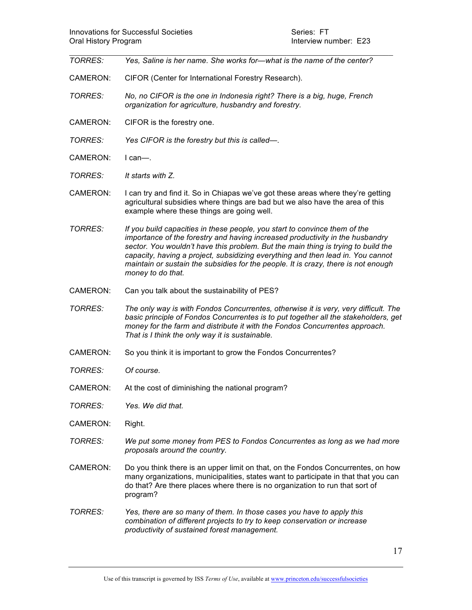$\mathcal{L}_\text{max}$  and  $\mathcal{L}_\text{max}$  and  $\mathcal{L}_\text{max}$  and  $\mathcal{L}_\text{max}$  and  $\mathcal{L}_\text{max}$  and  $\mathcal{L}_\text{max}$ *TORRES: Yes, Saline is her name. She works for—what is the name of the center?* CAMERON: CIFOR (Center for International Forestry Research). *TORRES: No, no CIFOR is the one in Indonesia right? There is a big, huge, French organization for agriculture, husbandry and forestry.*  CAMERON: CIFOR is the forestry one. *TORRES: Yes CIFOR is the forestry but this is called—.* CAMERON: I can—. *TORRES: It starts with Z.*  CAMERON: I can try and find it. So in Chiapas we've got these areas where they're getting agricultural subsidies where things are bad but we also have the area of this example where these things are going well. *TORRES: If you build capacities in these people, you start to convince them of the importance of the forestry and having increased productivity in the husbandry sector. You wouldn't have this problem. But the main thing is trying to build the capacity, having a project, subsidizing everything and then lead in. You cannot maintain or sustain the subsidies for the people. It is crazy, there is not enough money to do that.*  CAMERON: Can you talk about the sustainability of PES? *TORRES: The only way is with Fondos Concurrentes, otherwise it is very, very difficult. The basic principle of Fondos Concurrentes is to put together all the stakeholders, get money for the farm and distribute it with the Fondos Concurrentes approach. That is I think the only way it is sustainable.*  CAMERON: So you think it is important to grow the Fondos Concurrentes? *TORRES: Of course.*  CAMERON: At the cost of diminishing the national program? *TORRES: Yes. We did that.*  CAMERON: Right. *TORRES: We put some money from PES to Fondos Concurrentes as long as we had more proposals around the country.*  CAMERON: Do you think there is an upper limit on that, on the Fondos Concurrentes, on how many organizations, municipalities, states want to participate in that that you can do that? Are there places where there is no organization to run that sort of

*TORRES: Yes, there are so many of them. In those cases you have to apply this combination of different projects to try to keep conservation or increase productivity of sustained forest management.* 

program?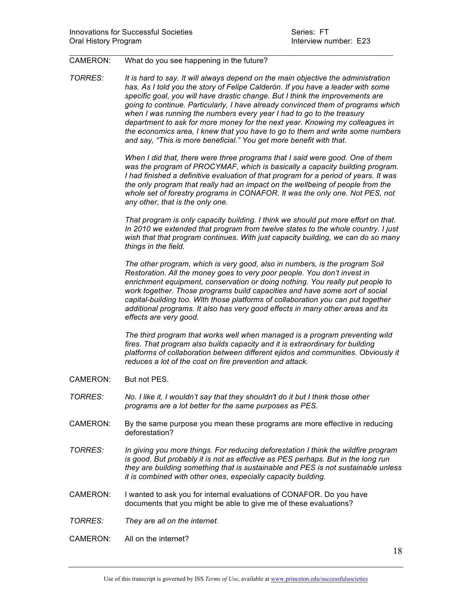## CAMERON: What do you see happening in the future?

*TORRES: It is hard to say. It will always depend on the main objective the administration has. As I told you the story of Felipe Calderón. If you have a leader with some specific goal, you will have drastic change. But I think the improvements are going to continue. Particularly, I have already convinced them of programs which when I was running the numbers every year I had to go to the treasury department to ask for more money for the next year. Knowing my colleagues in the economics area, I knew that you have to go to them and write some numbers and say, "This is more beneficial." You get more benefit with that.* 

 $\mathcal{L}_\text{max}$  and  $\mathcal{L}_\text{max}$  and  $\mathcal{L}_\text{max}$  and  $\mathcal{L}_\text{max}$  and  $\mathcal{L}_\text{max}$  and  $\mathcal{L}_\text{max}$ 

*When I did that, there were three programs that I said were good. One of them was the program of PROCYMAF, which is basically a capacity building program. I had finished a definitive evaluation of that program for a period of years. It was the only program that really had an impact on the wellbeing of people from the whole set of forestry programs in CONAFOR. It was the only one. Not PES, not any other, that is the only one.* 

*That program is only capacity building. I think we should put more effort on that. In 2010 we extended that program from twelve states to the whole country. I just wish that that program continues. With just capacity building, we can do so many things in the field.* 

*The other program, which is very good, also in numbers, is the program Soil Restoration. All the money goes to very poor people. You don't invest in enrichment equipment, conservation or doing nothing. You really put people to work together. Those programs build capacities and have some sort of social capital-building too. With those platforms of collaboration you can put together additional programs. It also has very good effects in many other areas and its effects are very good.* 

*The third program that works well when managed is a program preventing wild fires. That program also builds capacity and it is extraordinary for building platforms of collaboration between different ejidos and communities. Obviously it reduces a lot of the cost on fire prevention and attack.* 

- CAMERON: But not PES.
- *TORRES: No. I like it, I wouldn't say that they shouldn't do it but I think those other programs are a lot better for the same purposes as PES.*
- CAMERON: By the same purpose you mean these programs are more effective in reducing deforestation?
- *TORRES: In giving you more things. For reducing deforestation I think the wildfire program is good. But probably it is not as effective as PES perhaps. But in the long run they are building something that is sustainable and PES is not sustainable unless it is combined with other ones, especially capacity building.*
- CAMERON: I wanted to ask you for internal evaluations of CONAFOR. Do you have documents that you might be able to give me of these evaluations?
- *TORRES: They are all on the internet.*
- CAMERON: All on the internet?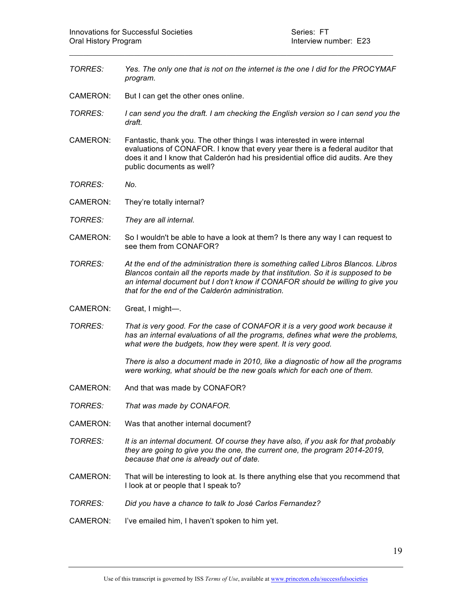*TORRES: Yes. The only one that is not on the internet is the one I did for the PROCYMAF program.* 

 $\mathcal{L}_\text{max}$  and  $\mathcal{L}_\text{max}$  and  $\mathcal{L}_\text{max}$  and  $\mathcal{L}_\text{max}$  and  $\mathcal{L}_\text{max}$  and  $\mathcal{L}_\text{max}$ 

- CAMERON: But I can get the other ones online.
- *TORRES: I can send you the draft. I am checking the English version so I can send you the draft.*
- CAMERON: Fantastic, thank you. The other things I was interested in were internal evaluations of CONAFOR. I know that every year there is a federal auditor that does it and I know that Calderón had his presidential office did audits. Are they public documents as well?
- *TORRES: No.*
- CAMERON: They're totally internal?
- *TORRES: They are all internal.*
- CAMERON: So I wouldn't be able to have a look at them? Is there any way I can request to see them from CONAFOR?
- *TORRES: At the end of the administration there is something called Libros Blancos. Libros Blancos contain all the reports made by that institution. So it is supposed to be an internal document but I don't know if CONAFOR should be willing to give you that for the end of the Calderón administration.*
- CAMERON: Great, I might—.
- *TORRES: That is very good. For the case of CONAFOR it is a very good work because it has an internal evaluations of all the programs, defines what were the problems, what were the budgets, how they were spent. It is very good.*

*There is also a document made in 2010, like a diagnostic of how all the programs were working, what should be the new goals which for each one of them.*

- CAMERON: And that was made by CONAFOR?
- *TORRES: That was made by CONAFOR.*
- CAMERON: Was that another internal document?
- *TORRES: It is an internal document. Of course they have also, if you ask for that probably they are going to give you the one, the current one, the program 2014-2019, because that one is already out of date.*
- CAMERON: That will be interesting to look at. Is there anything else that you recommend that I look at or people that I speak to?
- *TORRES: Did you have a chance to talk to José Carlos Fernandez?*
- CAMERON: I've emailed him, I haven't spoken to him yet.